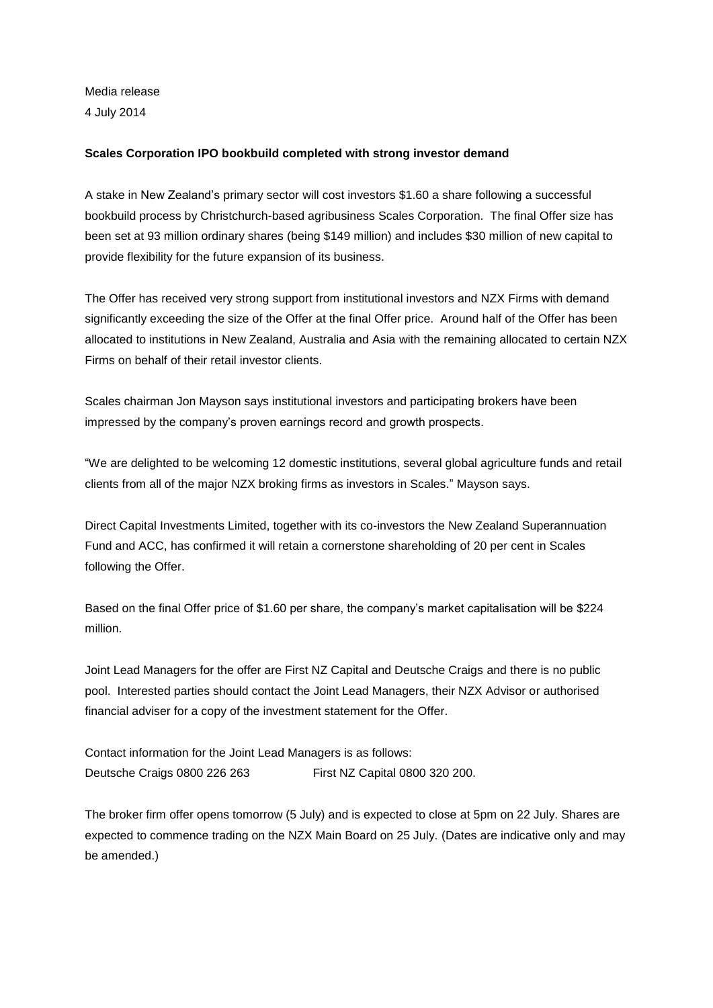Media release 4 July 2014

### **Scales Corporation IPO bookbuild completed with strong investor demand**

A stake in New Zealand's primary sector will cost investors \$1.60 a share following a successful bookbuild process by Christchurch-based agribusiness Scales Corporation. The final Offer size has been set at 93 million ordinary shares (being \$149 million) and includes \$30 million of new capital to provide flexibility for the future expansion of its business.

The Offer has received very strong support from institutional investors and NZX Firms with demand significantly exceeding the size of the Offer at the final Offer price. Around half of the Offer has been allocated to institutions in New Zealand, Australia and Asia with the remaining allocated to certain NZX Firms on behalf of their retail investor clients.

Scales chairman Jon Mayson says institutional investors and participating brokers have been impressed by the company's proven earnings record and growth prospects.

"We are delighted to be welcoming 12 domestic institutions, several global agriculture funds and retail clients from all of the major NZX broking firms as investors in Scales." Mayson says.

Direct Capital Investments Limited, together with its co-investors the New Zealand Superannuation Fund and ACC, has confirmed it will retain a cornerstone shareholding of 20 per cent in Scales following the Offer.

Based on the final Offer price of \$1.60 per share, the company's market capitalisation will be \$224 million.

Joint Lead Managers for the offer are First NZ Capital and Deutsche Craigs and there is no public pool. Interested parties should contact the Joint Lead Managers, their NZX Advisor or authorised financial adviser for a copy of the investment statement for the Offer.

Contact information for the Joint Lead Managers is as follows: Deutsche Craigs 0800 226 263 First NZ Capital 0800 320 200.

The broker firm offer opens tomorrow (5 July) and is expected to close at 5pm on 22 July. Shares are expected to commence trading on the NZX Main Board on 25 July. (Dates are indicative only and may be amended.)